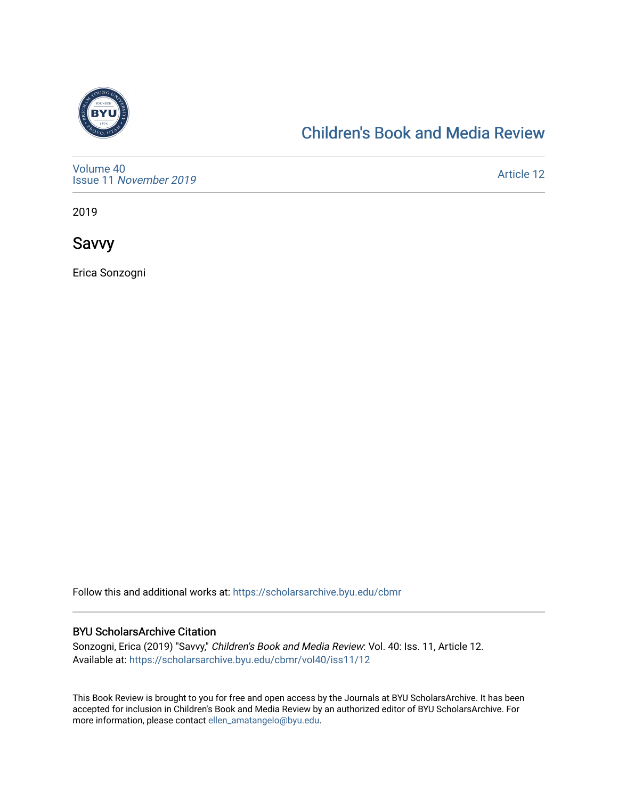

### [Children's Book and Media Review](https://scholarsarchive.byu.edu/cbmr)

[Volume 40](https://scholarsarchive.byu.edu/cbmr/vol40) Issue 11 [November 2019](https://scholarsarchive.byu.edu/cbmr/vol40/iss11) 

[Article 12](https://scholarsarchive.byu.edu/cbmr/vol40/iss11/12) 

2019

Savvy

Erica Sonzogni

Follow this and additional works at: [https://scholarsarchive.byu.edu/cbmr](https://scholarsarchive.byu.edu/cbmr?utm_source=scholarsarchive.byu.edu%2Fcbmr%2Fvol40%2Fiss11%2F12&utm_medium=PDF&utm_campaign=PDFCoverPages) 

#### BYU ScholarsArchive Citation

Sonzogni, Erica (2019) "Savvy," Children's Book and Media Review: Vol. 40: Iss. 11, Article 12. Available at: [https://scholarsarchive.byu.edu/cbmr/vol40/iss11/12](https://scholarsarchive.byu.edu/cbmr/vol40/iss11/12?utm_source=scholarsarchive.byu.edu%2Fcbmr%2Fvol40%2Fiss11%2F12&utm_medium=PDF&utm_campaign=PDFCoverPages) 

This Book Review is brought to you for free and open access by the Journals at BYU ScholarsArchive. It has been accepted for inclusion in Children's Book and Media Review by an authorized editor of BYU ScholarsArchive. For more information, please contact [ellen\\_amatangelo@byu.edu.](mailto:ellen_amatangelo@byu.edu)